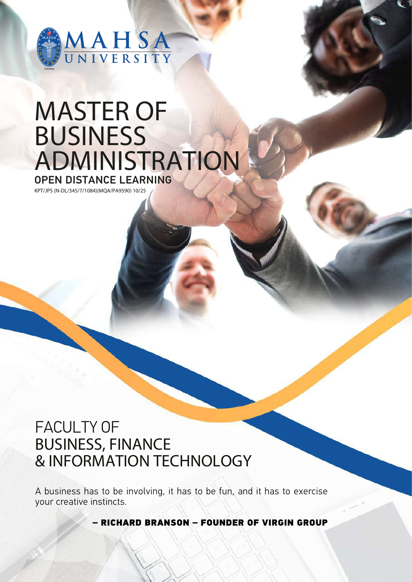

# MASTER OF **BUSINESS** ADMINISTRATION OPEN DISTANCE LEARNING

KPT/JPS (N-DL/345/7/1084)(MQA/PA9590) 10/25

### FACULTY OF BUSINESS, FINANCE & INFORMATION TECHNOLOGY

A business has to be involving, it has to be fun, and it has to exercise your creative instincts.

**RICHARD BRANSON - FOUNDER OF VIRGIN GROUP**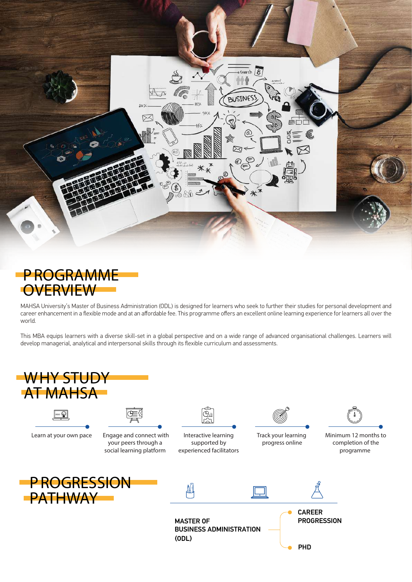



MAHSA University's Master of Business Administration (ODL) is designed for learners who seek to further their studies for personal development and career enhancement in a flexible mode and at an affordable fee. This programme offers an excellent online learning experience for learners all over the world.

This MBA equips learners with a diverse skill-set in a global perspective and on a wide range of advanced organisational challenges. Learners will develop managerial, analytical and interpersonal skills through its flexible curriculum and assessments.

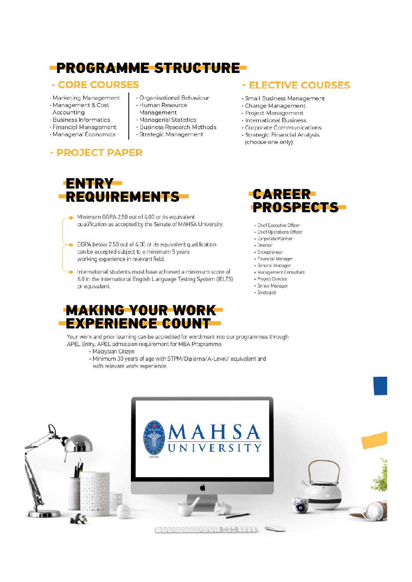### **-PROGRAMME STRUCTURE-**

#### - CORE COURSES

- · Marketing Management
- · Management & Cost
- Accounting
- · Business Informatics · Financial Management
- · Managerial Economics
- 
- Organisational Behaviour
- · Human Resource Management
- · Managerial Statistics
- · Business Research Methods
- · Strategic Management

#### - PROJECT PAPER



- Minimum GGPA 2.50 out of 4.00 or its equivalent qualification as accepted by the Senate of MAHSA University.
- GGPA below 2.50 out of 4.00 or its equivalent qualification can be accepted subject to a minimum 5 years working experience in relevant field.
- International students must have achieved a minimum score of 6.0 in the International English Language Testing System (IELTS) or equivalent.



Your work and prior learning can be accredited for enrolment into our programmes through APEL Entry. APEL admission requirement for MBA Programme:

- · Malaysian Citizen
- Minimum 30 years of age with STPM/Diploma/A-Level/ equivalent and with relevant work experience.

#### - ELECTIVE COURSES

- · Small Business Management
- · Change Management
- · Project Management
- · International Business
- · Corporate Communications
- · Strategic Financial Analysis (choose one only)



- · Chief Executive Officer
- · Chief Operations Officer
- · Corporate Planner
- · Director
- · Entrepreneur
- · Financial Manager
- · General Manager
- · Management Consultant · Project Director
- · Senior Manager
- · Strategist
-